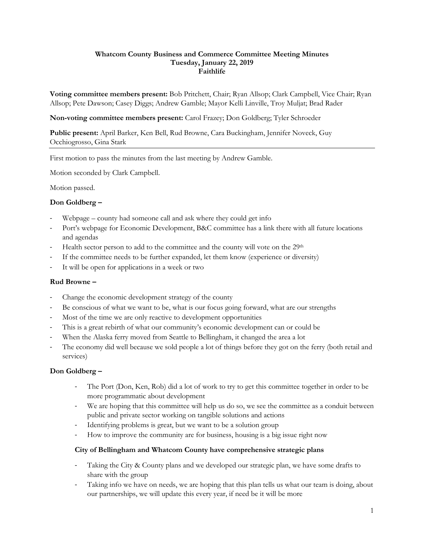#### **Whatcom County Business and Commerce Committee Meeting Minutes Tuesday, January 22, 2019 Faithlife**

**Voting committee members present:** Bob Pritchett, Chair; Ryan Allsop; Clark Campbell, Vice Chair; Ryan Allsop; Pete Dawson; Casey Diggs; Andrew Gamble; Mayor Kelli Linville, Troy Muljat; Brad Rader

**Non-voting committee members present:** Carol Frazey; Don Goldberg; Tyler Schroeder

**Public present:** April Barker, Ken Bell, Rud Browne, Cara Buckingham, Jennifer Noveck, Guy Occhiogrosso, Gina Stark

First motion to pass the minutes from the last meeting by Andrew Gamble.

Motion seconded by Clark Campbell.

Motion passed.

### **Don Goldberg –**

- Webpage county had someone call and ask where they could get info
- Port's webpage for Economic Development, B&C committee has a link there with all future locations and agendas
- Health sector person to add to the committee and the county will vote on the 29<sup>th</sup>
- If the committee needs to be further expanded, let them know (experience or diversity)
- It will be open for applications in a week or two

### **Rud Browne –**

- Change the economic development strategy of the county
- Be conscious of what we want to be, what is our focus going forward, what are our strengths
- Most of the time we are only reactive to development opportunities
- This is a great rebirth of what our community's economic development can or could be
- When the Alaska ferry moved from Seattle to Bellingham, it changed the area a lot
- The economy did well because we sold people a lot of things before they got on the ferry (both retail and services)

### **Don Goldberg –**

- The Port (Don, Ken, Rob) did a lot of work to try to get this committee together in order to be more programmatic about development
- We are hoping that this committee will help us do so, we see the committee as a conduit between public and private sector working on tangible solutions and actions
- Identifying problems is great, but we want to be a solution group
- How to improve the community are for business, housing is a big issue right now

### **City of Bellingham and Whatcom County have comprehensive strategic plans**

- Taking the City & County plans and we developed our strategic plan, we have some drafts to share with the group
- Taking info we have on needs, we are hoping that this plan tells us what our team is doing, about our partnerships, we will update this every year, if need be it will be more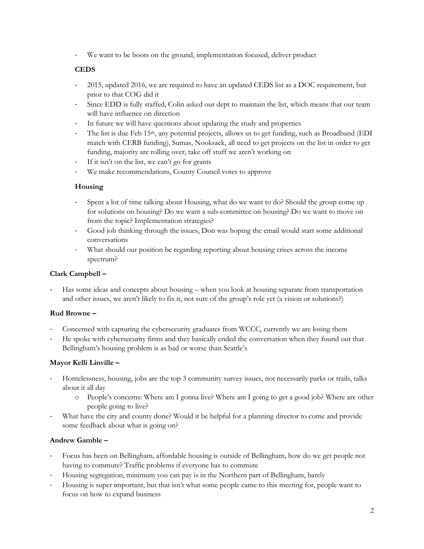- We want to be boots on the ground, implementation focused, deliver product

# **CEDS**

- 2015, updated 2016, we are required to have an updated CEDS list as a DOC requirement, but prior to that COG did it
- Since EDD is fully staffed, Colin asked our dept to maintain the list, which means that our team will have influence on direction
- In future we will have questions about updating the study and properties
- The list is due Feb 15<sup>th</sup>, any potential projects, allows us to get funding, such as Broadband (EDI match with CERB funding), Sumas, Nooksack, all need to get projects on the list in order to get funding, majority are rolling over, take off stuff we aren't working on
- If it isn't on the list, we can't go for grants
- We make recommendations, County Council votes to approve

# **Housing**

- Spent a lot of time talking about Housing, what do we want to do? Should the group come up for solutions on housing? Do we want a sub-committee on housing? Do we want to move on from the topic? Implementation strategies?
- Good job thinking through the issues, Don was hoping the email would start some additional conversations
- What should our position be regarding reporting about housing crises across the income spectrum?

### **Clark Campbell –**

Has some ideas and concepts about housing – when you look at housing separate from transportation and other issues, we aren't likely to fix it, not sure of the group's role yet (a vision or solutions?)

# **Rud Browne –**

- Concerned with capturing the cybersecurity graduates from WCCC, currently we are losing them
- He spoke with cybersecurity firms and they basically ended the conversation when they found out that Bellingham's housing problem is as bad or worse than Seattle's

# **Mayor Kelli Linville –**

- Homelessness, housing, jobs are the top 3 community survey issues, not necessarily parks or trails, talks about it all day
	- o People's concerns: Where am I gonna live? Where am I going to get a good job? Where are other people going to live?
- What have the city and county done? Would it be helpful for a planning director to come and provide some feedback about what is going on?

# **Andrew Gamble –**

- Focus has been on Bellingham, affordable housing is outside of Bellingham, how do we get people not having to commute? Traffic problems if everyone has to commute
- Housing segregation, minimum you can pay is in the Northern part of Bellingham, barely
- Housing is super important, but that isn't what some people came to this meeting for, people want to focus on how to expand business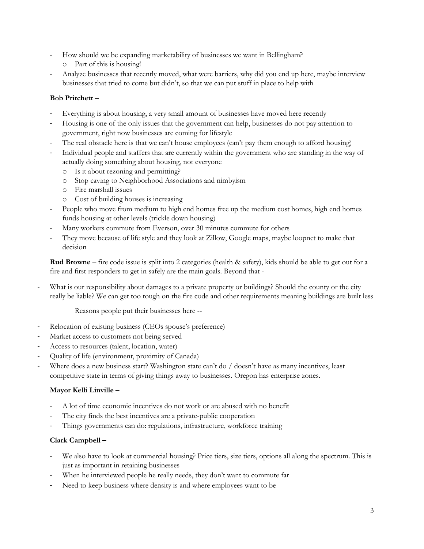- How should we be expanding marketability of businesses we want in Bellingham?
	- o Part of this is housing!
- Analyze businesses that recently moved, what were barriers, why did you end up here, maybe interview businesses that tried to come but didn't, so that we can put stuff in place to help with

### **Bob Pritchett –**

- Everything is about housing, a very small amount of businesses have moved here recently
- Housing is one of the only issues that the government can help, businesses do not pay attention to government, right now businesses are coming for lifestyle
- The real obstacle here is that we can't house employees (can't pay them enough to afford housing)
- Individual people and staffers that are currently within the government who are standing in the way of actually doing something about housing, not everyone
	- o Is it about rezoning and permitting?
	- o Stop caving to Neighborhood Associations and nimbyism
	- o Fire marshall issues
	- o Cost of building houses is increasing
- People who move from medium to high end homes free up the medium cost homes, high end homes funds housing at other levels (trickle down housing)
- Many workers commute from Everson, over 30 minutes commute for others
- They move because of life style and they look at Zillow, Google maps, maybe loopnet to make that decision

**Rud Browne** – fire code issue is split into 2 categories (health & safety), kids should be able to get out for a fire and first responders to get in safely are the main goals. Beyond that -

What is our responsibility about damages to a private property or buildings? Should the county or the city really be liable? We can get too tough on the fire code and other requirements meaning buildings are built less

Reasons people put their businesses here --

- Relocation of existing business (CEOs spouse's preference)
- Market access to customers not being served
- Access to resources (talent, location, water)
- Quality of life (environment, proximity of Canada)
- Where does a new business start? Washington state can't do / doesn't have as many incentives, least competitive state in terms of giving things away to businesses. Oregon has enterprise zones.

### **Mayor Kelli Linville –**

- A lot of time economic incentives do not work or are abused with no benefit
- The city finds the best incentives are a private-public cooperation
- Things governments can do: regulations, infrastructure, workforce training

# **Clark Campbell –**

- We also have to look at commercial housing? Price tiers, size tiers, options all along the spectrum. This is just as important in retaining businesses
- When he interviewed people he really needs, they don't want to commute far
- Need to keep business where density is and where employees want to be